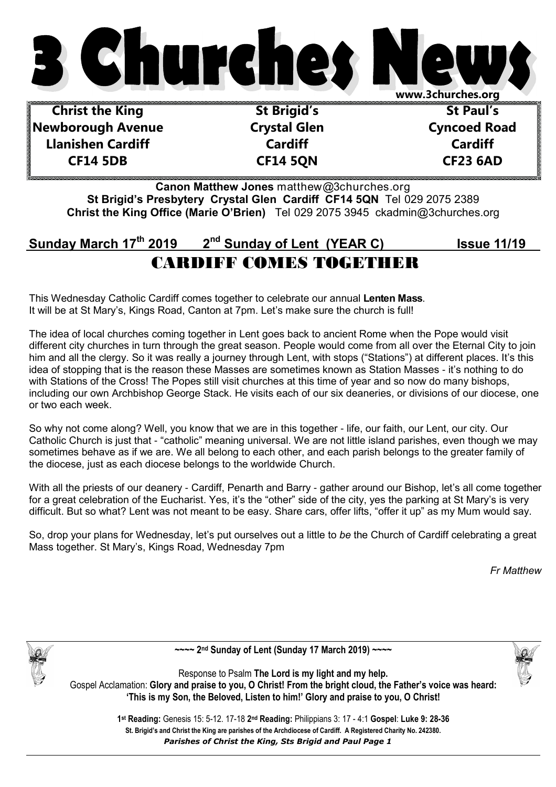

**Christ the King Newborough Avenue Llanishen Cardiff CF14 5DB** 

**St Brigid's Crystal Glen Cardiff CF14 5QN** 

**St Paul's Cyncoed Road Cardiff CF23 6AD** 

**Canon Matthew Jones** matthew@3churches.org **St Brigid's Presbytery Crystal Glen Cardiff CF14 5QN** Tel 029 2075 2389 **Christ the King Office (Marie O'Brien)** Tel 029 2075 3945 ckadmin@3churches.org

## **Sunday March 17th 2019 2nd Sunday of Lent (YEAR C) Issue 11/19** CARDIFF COMES TOGETHER

This Wednesday Catholic Cardiff comes together to celebrate our annual **Lenten Mass**. It will be at St Mary's, Kings Road, Canton at 7pm. Let's make sure the church is full!

The idea of local churches coming together in Lent goes back to ancient Rome when the Pope would visit different city churches in turn through the great season. People would come from all over the Eternal City to join him and all the clergy. So it was really a journey through Lent, with stops ("Stations") at different places. It's this idea of stopping that is the reason these Masses are sometimes known as Station Masses - it's nothing to do with Stations of the Cross! The Popes still visit churches at this time of year and so now do many bishops, including our own Archbishop George Stack. He visits each of our six deaneries, or divisions of our diocese, one or two each week.

So why not come along? Well, you know that we are in this together - life, our faith, our Lent, our city. Our Catholic Church is just that - "catholic" meaning universal. We are not little island parishes, even though we may sometimes behave as if we are. We all belong to each other, and each parish belongs to the greater family of the diocese, just as each diocese belongs to the worldwide Church.

With all the priests of our deanery - Cardiff, Penarth and Barry - gather around our Bishop, let's all come together for a great celebration of the Eucharist. Yes, it's the "other" side of the city, yes the parking at St Mary's is very difficult. But so what? Lent was not meant to be easy. Share cars, offer lifts, "offer it up" as my Mum would say.

So, drop your plans for Wednesday, let's put ourselves out a little to *be* the Church of Cardiff celebrating a great Mass together. St Mary's, Kings Road, Wednesday 7pm

*Fr Matthew*



**~~~~ 2nd Sunday of Lent (Sunday 17 March 2019) ~~~~** 

Response to Psalm **The Lord is my light and my help.**  Gospel Acclamation: **Glory and praise to you, O Christ! From the bright cloud, the Father's voice was heard: 'This is my Son, the Beloved, Listen to him!' Glory and praise to you, O Christ!** 

> *Parishes of Christ the King, Sts Brigid and Paul Page 1*  **St. Brigid's and Christ the King are parishes of the Archdiocese of Cardiff. A Registered Charity No. 242380. 1 st Reading:** Genesis 15: 5-12. 17-18 **2nd Reading:** Philippians 3: 17 - 4:1 **Gospel**: **Luke 9: 28-36**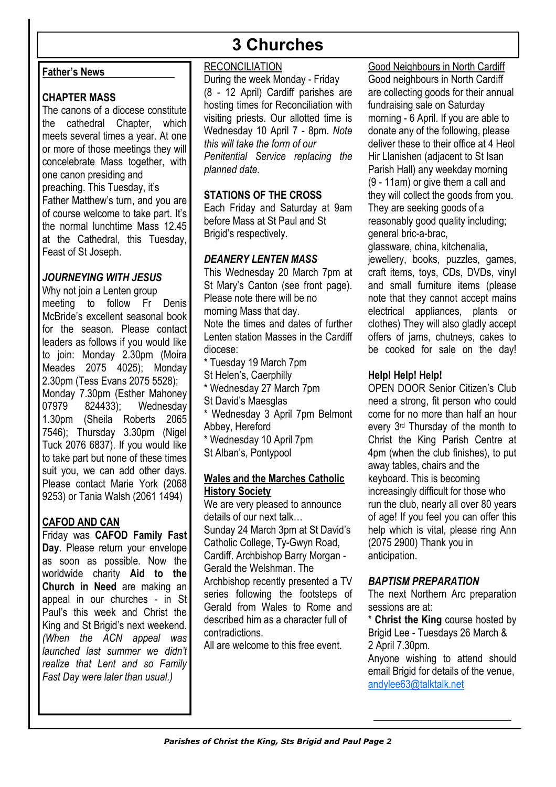# **3 Churches**

#### **Father's News**

#### **CHAPTER MASS**

The canons of a diocese constitute the cathedral Chapter, which meets several times a year. At one or more of those meetings they will concelebrate Mass together, with one canon presiding and preaching. This Tuesday, it's Father Matthew's turn, and you are of course welcome to take part. It's the normal lunchtime Mass 12.45 at the Cathedral, this Tuesday, Feast of St Joseph.

#### *JOURNEYING WITH JESUS*

Why not join a Lenten group meeting to follow Fr Denis McBride's excellent seasonal book for the season. Please contact leaders as follows if you would like to join: Monday 2.30pm (Moira Meades 2075 4025); Monday 2.30pm (Tess Evans 2075 5528); Monday 7.30pm (Esther Mahoney 07979 824433); Wednesday 1.30pm (Sheila Roberts 2065 7546); Thursday 3.30pm (Nigel Tuck 2076 6837). If you would like to take part but none of these times suit you, we can add other days. Please contact Marie York (2068 9253) or Tania Walsh (2061 1494)

## **CAFOD AND CAN**

Friday was **CAFOD Family Fast Day**. Please return your envelope as soon as possible. Now the worldwide charity **Aid to the Church in Need** are making an appeal in our churches - in St Paul's this week and Christ the King and St Brigid's next weekend. *(When the ACN appeal was launched last summer we didn't realize that Lent and so Family Fast Day were later than usual.)*

#### **RECONCILIATION**

During the week Monday - Friday (8 - 12 April) Cardiff parishes are hosting times for Reconciliation with visiting priests. Our allotted time is Wednesday 10 April 7 - 8pm. *Note this will take the form of our Penitential Service replacing the planned date.* 

#### **STATIONS OF THE CROSS**

Each Friday and Saturday at 9am before Mass at St Paul and St Brigid's respectively.

#### *DEANERY LENTEN MASS*

This Wednesday 20 March 7pm at St Mary's Canton (see front page). Please note there will be no morning Mass that day. Note the times and dates of further Lenten station Masses in the Cardiff diocese:

\* Tuesday 19 March 7pm St Helen's, Caerphilly

\* Wednesday 27 March 7pm

St David's Maesglas

\* Wednesday 3 April 7pm Belmont

Abbey, Hereford

\* Wednesday 10 April 7pm

St Alban's, Pontypool

#### **Wales and the Marches Catholic History Society**

We are very pleased to announce details of our next talk… Sunday 24 March 3pm at St David's Catholic College, Ty-Gwyn Road, Cardiff. Archbishop Barry Morgan - Gerald the Welshman. The Archbishop recently presented a TV series following the footsteps of Gerald from Wales to Rome and described him as a character full of contradictions.

All are welcome to this free event.

Good Neighbours in North Cardiff Good neighbours in North Cardiff are collecting goods for their annual fundraising sale on Saturday morning - 6 April. If you are able to donate any of the following, please deliver these to their office at 4 Heol Hir Llanishen (adjacent to St Isan Parish Hall) any weekday morning (9 - 11am) or give them a call and they will collect the goods from you. They are seeking goods of a reasonably good quality including; general bric-a-brac,

glassware, china, kitchenalia, jewellery, books, puzzles, games, craft items, toys, CDs, DVDs, vinyl and small furniture items (please note that they cannot accept mains electrical appliances, plants or clothes) They will also gladly accept offers of jams, chutneys, cakes to be cooked for sale on the day!

#### **Help! Help! Help!**

OPEN DOOR Senior Citizen's Club need a strong, fit person who could come for no more than half an hour every 3rd Thursday of the month to Christ the King Parish Centre at 4pm (when the club finishes), to put away tables, chairs and the keyboard. This is becoming increasingly difficult for those who run the club, nearly all over 80 years of age! If you feel you can offer this help which is vital, please ring Ann (2075 2900) Thank you in anticipation.

#### *BAPTISM PREPARATION*

The next Northern Arc preparation sessions are at:

\* **Christ the King** course hosted by Brigid Lee - Tuesdays 26 March & 2 April 7.30pm.

Anyone wishing to attend should email Brigid for details of the venue. andylee63@talktalk.net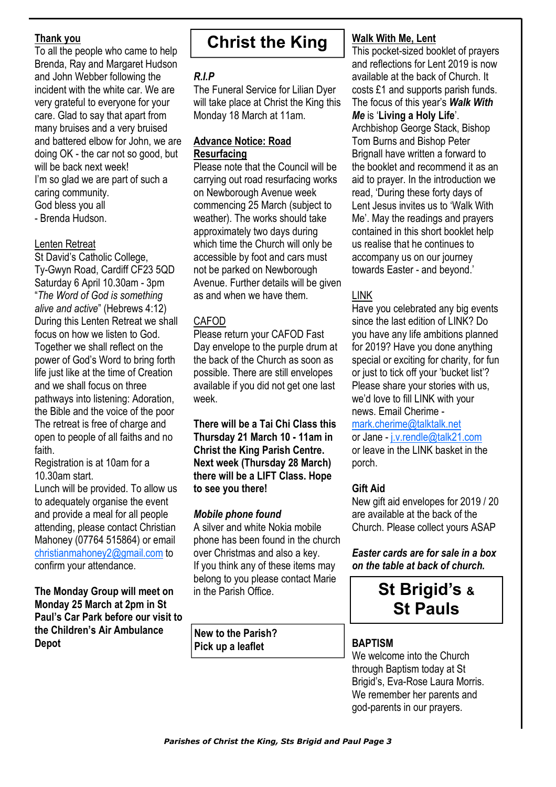#### **Thank you**

To all the people who came to help Brenda, Ray and Margaret Hudson and John Webber following the incident with the white car. We are very grateful to everyone for your care. Glad to say that apart from many bruises and a very bruised and battered elbow for John, we are doing OK - the car not so good, but will be back next week! I'm so glad we are part of such a caring community. God bless you all - Brenda Hudson.

#### Lenten Retreat

St David's Catholic College, Ty-Gwyn Road, Cardiff CF23 5QD Saturday 6 April 10.30am - 3pm "*The Word of God is something alive and active*" (Hebrews 4:12) During this Lenten Retreat we shall focus on how we listen to God. Together we shall reflect on the power of God's Word to bring forth life just like at the time of Creation and we shall focus on three pathways into listening: Adoration, the Bible and the voice of the poor The retreat is free of charge and open to people of all faiths and no faith.

Registration is at 10am for a 10.30am start.

Lunch will be provided. To allow us to adequately organise the event and provide a meal for all people attending, please contact Christian Mahoney (07764 515864) or email christianmahoney2@gmail.com to confirm your attendance.

**The Monday Group will meet on Monday 25 March at 2pm in St Paul's Car Park before our visit to the Children's Air Ambulance Depot** 

# **Christ the King**

## *R.I.P*

The Funeral Service for Lilian Dyer will take place at Christ the King this Monday 18 March at 11am.

#### **Advance Notice: Road Resurfacing**

Please note that the Council will be carrying out road resurfacing works on Newborough Avenue week commencing 25 March (subject to weather). The works should take approximately two days during which time the Church will only be accessible by foot and cars must not be parked on Newborough Avenue. Further details will be given as and when we have them.

#### CAFOD

Please return your CAFOD Fast Day envelope to the purple drum at the back of the Church as soon as possible. There are still envelopes available if you did not get one last week.

**There will be a Tai Chi Class this Thursday 21 March 10 - 11am in Christ the King Parish Centre. Next week (Thursday 28 March) there will be a LIFT Class. Hope to see you there!** 

#### *Mobile phone found*

A silver and white Nokia mobile phone has been found in the church over Christmas and also a key. If you think any of these items may belong to you please contact Marie in the Parish Office.

**New to the Parish? Pick up a leaflet**

#### **Walk With Me, Lent**

This pocket-sized booklet of prayers and reflections for Lent 2019 is now available at the back of Church. It costs £1 and supports parish funds. The focus of this year's *Walk With Me* is '**Living a Holy Life**'. Archbishop George Stack, Bishop Tom Burns and Bishop Peter Brignall have written a forward to the booklet and recommend it as an aid to prayer. In the introduction we read, 'During these forty days of Lent Jesus invites us to 'Walk With Me'. May the readings and prayers contained in this short booklet help us realise that he continues to accompany us on our journey towards Easter - and beyond.'

## LINK

Have you celebrated any big events since the last edition of LINK? Do you have any life ambitions planned for 2019? Have you done anything special or exciting for charity, for fun or just to tick off your 'bucket list'? Please share your stories with us, we'd love to fill LINK with your news. Email Cherime -

mark.cherime@talktalk.net

or Jane - j.v.rendle@talk21.com or leave in the LINK basket in the porch.

## **Gift Aid**

New gift aid envelopes for 2019 / 20 are available at the back of the Church. Please collect yours ASAP

*Easter cards are for sale in a box on the table at back of church.* 

# **St Brigid's & St Pauls**

## **BAPTISM**

We welcome into the Church through Baptism today at St Brigid's, Eva-Rose Laura Morris. We remember her parents and god-parents in our prayers.